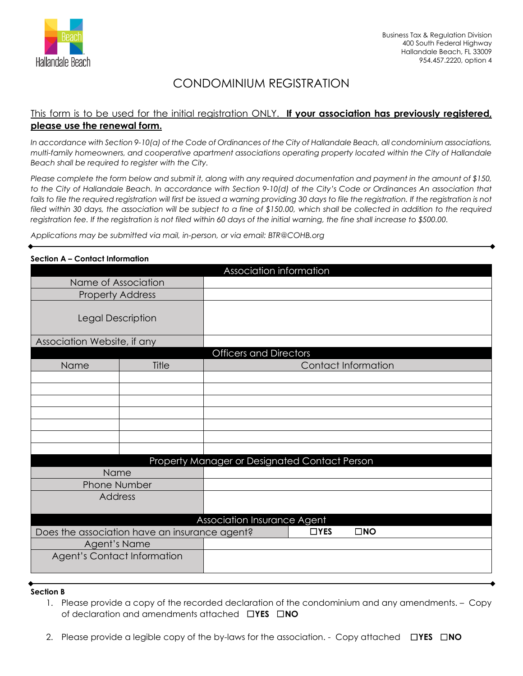

# CONDOMINIUM REGISTRATION

# This form is to be used for the initial registration ONLY. **If your association has previously registered, please use the renewal form.**

*In accordance with Section 9-10(a) of the Code of Ordinances of the City of Hallandale Beach, all condominium associations, multi-family homeowners, and cooperative apartment associations operating property located within the City of Hallandale Beach shall be required to register with the City.* 

*Please complete the form below and submit it, along with any required documentation and payment in the amount of \$150, to the City of Hallandale Beach. In accordance with Section 9-10(d) of the City's Code or Ordinances An association that*  fails to file the required registration will first be issued a warning providing 30 days to file the registration. If the registration is not filed within 30 days, the association will be subject to a fine of \$150.00, which shall be collected in addition to the required *registration fee. If the registration is not filed within 60 days of the initial warning, the fine shall increase to \$500.00.*

*Applications may be submitted via mail, in-person, or via email: BTR@COHB.org*

| Section A – Confact Information |                                               |                                               |                     |              |  |
|---------------------------------|-----------------------------------------------|-----------------------------------------------|---------------------|--------------|--|
|                                 |                                               | <b>Association information</b>                |                     |              |  |
| Name of Association             |                                               |                                               |                     |              |  |
| <b>Property Address</b>         |                                               |                                               |                     |              |  |
| Legal Description               |                                               |                                               |                     |              |  |
| Association Website, if any     |                                               |                                               |                     |              |  |
|                                 |                                               | <b>Officers and Directors</b>                 |                     |              |  |
| Name                            | Title                                         |                                               | Contact Information |              |  |
|                                 |                                               |                                               |                     |              |  |
|                                 |                                               |                                               |                     |              |  |
|                                 |                                               |                                               |                     |              |  |
|                                 |                                               |                                               |                     |              |  |
|                                 |                                               |                                               |                     |              |  |
|                                 |                                               |                                               |                     |              |  |
|                                 |                                               |                                               |                     |              |  |
|                                 |                                               | Property Manager or Designated Contact Person |                     |              |  |
| Name                            |                                               |                                               |                     |              |  |
| <b>Phone Number</b><br>Address  |                                               |                                               |                     |              |  |
|                                 |                                               |                                               |                     |              |  |
|                                 |                                               | Association Insurance Agent                   |                     |              |  |
|                                 | Does the association have an insurance agent? |                                               | $\Box$ YES          | $\square$ NO |  |
| Agent's Name                    |                                               |                                               |                     |              |  |
| Agent's Contact Information     |                                               |                                               |                     |              |  |
|                                 |                                               |                                               |                     |              |  |

#### **Section A – Contact Information**

### **Section B**

- 1. Please provide a copy of the recorded declaration of the condominium and any amendments. Copy of declaration and amendments attached ☐**YES** ☐**NO**
- 2. Please provide a legible copy of the by-laws for the association. Copy attached ☐**YES** ☐**NO**